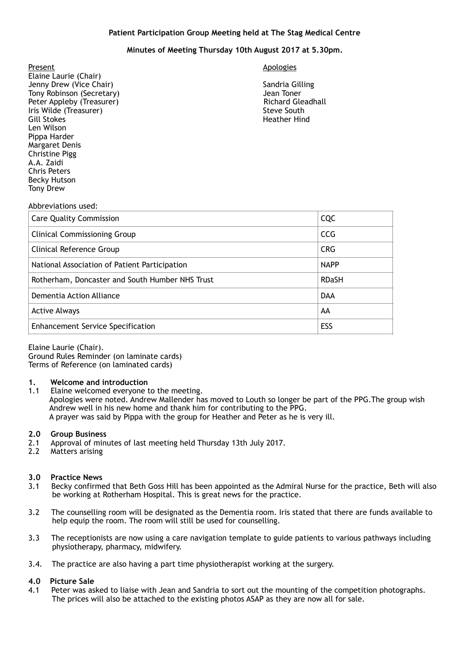# **Patient Participation Group Meeting held at The Stag Medical Centre**

# **Minutes of Meeting Thursday 10th August 2017 at 5.30pm.**

Present Apologies and Apologies and Apologies and Apologies and Apologies and Apologies and Apologies and Apologies Elaine Laurie (Chair) Jenny Drew (Vice Chair) Sandria Gilling Tony Robinson (Secretary) Tony Robinson (Secretary) and the secretary of the secretary of the secretary of the secretary of the secretary of the secretary of the secretary of the secretary of the secretary of the secretary Peter Appleby (Treasurer) **Iris Wilde (Treasurer)** Steve South Steve South Steve South Steve South Steve South Steve South Steve South Steve South Steve South Steve South Steve South Steve South Steve South Steve South Steve South Steve South Steve Gill Stokes **Heather Hind** Len Wilson Pippa Harder Margaret Denis Christine Pigg A.A. Zaidi Chris Peters Becky Hutson Tony Drew

#### Abbreviations used:

| <b>Care Quality Commission</b>                  | <b>CQC</b>   |
|-------------------------------------------------|--------------|
| <b>Clinical Commissioning Group</b>             | <b>CCG</b>   |
| Clinical Reference Group                        | <b>CRG</b>   |
| National Association of Patient Participation   | <b>NAPP</b>  |
| Rotherham, Doncaster and South Humber NHS Trust | <b>RDaSH</b> |
| Dementia Action Alliance                        | <b>DAA</b>   |
| <b>Active Always</b>                            | AA           |
| <b>Enhancement Service Specification</b>        | ESS          |

Elaine Laurie (Chair).

Ground Rules Reminder (on laminate cards) Terms of Reference (on laminated cards)

# **1. Welcome and introduction**

1.1 Elaine welcomed everyone to the meeting. Apologies were noted. Andrew Mallender has moved to Louth so longer be part of the PPG.The group wish Andrew well in his new home and thank him for contributing to the PPG. A prayer was said by Pippa with the group for Heather and Peter as he is very ill.

# **2.0 Group Business**

- 2.1 Approval of minutes of last meeting held Thursday 13th July 2017.
- 2.2 Matters arising

# **3.0 Practice News**

- Becky confirmed that Beth Goss Hill has been appointed as the Admiral Nurse for the practice, Beth will also be working at Rotherham Hospital. This is great news for the practice.
- 3.2 The counselling room will be designated as the Dementia room. Iris stated that there are funds available to help equip the room. The room will still be used for counselling.
- 3.3 The receptionists are now using a care navigation template to guide patients to various pathways including physiotherapy, pharmacy, midwifery.
- 3.4. The practice are also having a part time physiotherapist working at the surgery.

# **4.0 Picture Sale**

4.1 Peter was asked to liaise with Jean and Sandria to sort out the mounting of the competition photographs. The prices will also be attached to the existing photos ASAP as they are now all for sale.